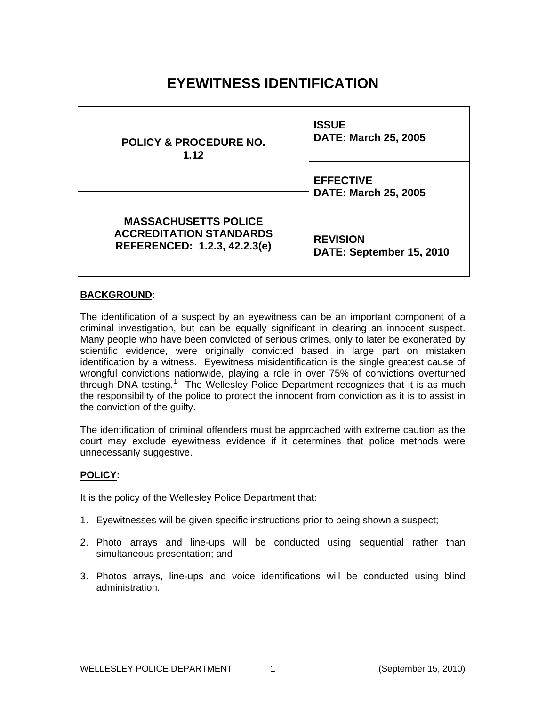# **EYEWITNESS IDENTIFICATION**

| <b>POLICY &amp; PROCEDURE NO.</b><br>1.12                                                     | <b>ISSUE</b><br><b>DATE: March 25, 2005</b>     |
|-----------------------------------------------------------------------------------------------|-------------------------------------------------|
| <b>MASSACHUSETTS POLICE</b><br><b>ACCREDITATION STANDARDS</b><br>REFERENCED: 1.2.3, 42.2.3(e) | <b>EFFECTIVE</b><br><b>DATE: March 25, 2005</b> |
|                                                                                               | <b>REVISION</b><br>DATE: September 15, 2010     |

# **BACKGROUND:**

The identification of a suspect by an eyewitness can be an important component of a criminal investigation, but can be equally significant in clearing an innocent suspect. Many people who have been convicted of serious crimes, only to later be exonerated by scientific evidence, were originally convicted based in large part on mistaken identification by a witness. Eyewitness misidentification is the single greatest cause of wrongful convictions nationwide, playing a role in over 75% of convictions overturned through DNA testing.<sup>[1](#page-10-0)</sup> The Wellesley Police Department recognizes that it is as much the responsibility of the police to protect the innocent from conviction as it is to assist in the conviction of the guilty.

The identification of criminal offenders must be approached with extreme caution as the court may exclude eyewitness evidence if it determines that police methods were unnecessarily suggestive.

# **POLICY:**

It is the policy of the Wellesley Police Department that:

- 1. Eyewitnesses will be given specific instructions prior to being shown a suspect;
- 2. Photo arrays and line-ups will be conducted using sequential rather than simultaneous presentation; and
- 3. Photos arrays, line-ups and voice identifications will be conducted using blind administration.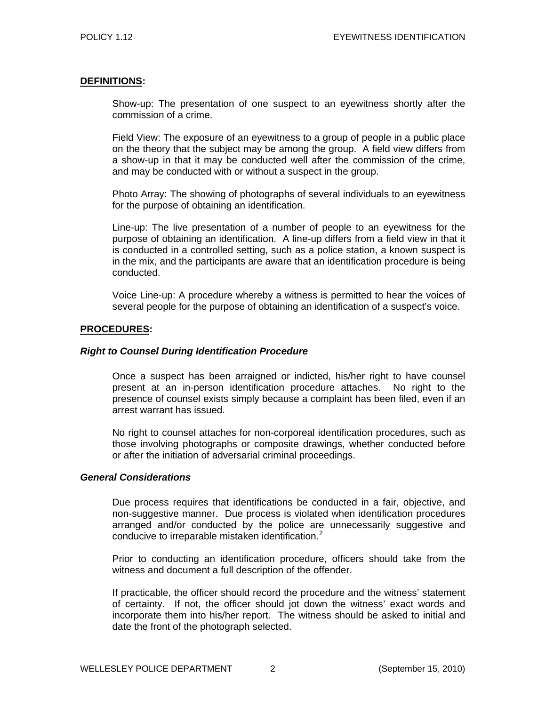# **DEFINITIONS:**

Show-up: The presentation of one suspect to an eyewitness shortly after the commission of a crime.

Field View: The exposure of an eyewitness to a group of people in a public place on the theory that the subject may be among the group. A field view differs from a show-up in that it may be conducted well after the commission of the crime, and may be conducted with or without a suspect in the group.

Photo Array: The showing of photographs of several individuals to an eyewitness for the purpose of obtaining an identification.

Line-up: The live presentation of a number of people to an eyewitness for the purpose of obtaining an identification. A line-up differs from a field view in that it is conducted in a controlled setting, such as a police station, a known suspect is in the mix, and the participants are aware that an identification procedure is being conducted.

Voice Line-up: A procedure whereby a witness is permitted to hear the voices of several people for the purpose of obtaining an identification of a suspect's voice.

# **PROCEDURES:**

### *Right to Counsel During Identification Procedure*

Once a suspect has been arraigned or indicted, his/her right to have counsel present at an in-person identification procedure attaches. No right to the presence of counsel exists simply because a complaint has been filed, even if an arrest warrant has issued.

No right to counsel attaches for non-corporeal identification procedures, such as those involving photographs or composite drawings, whether conducted before or after the initiation of adversarial criminal proceedings.

# *General Considerations*

Due process requires that identifications be conducted in a fair, objective, and non-suggestive manner. Due process is violated when identification procedures arranged and/or conducted by the police are unnecessarily suggestive and conducive to irreparable mistaken identification.<sup>[2](#page-10-1)</sup>

Prior to conducting an identification procedure, officers should take from the witness and document a full description of the offender.

If practicable, the officer should record the procedure and the witness' statement of certainty. If not, the officer should jot down the witness' exact words and incorporate them into his/her report. The witness should be asked to initial and date the front of the photograph selected.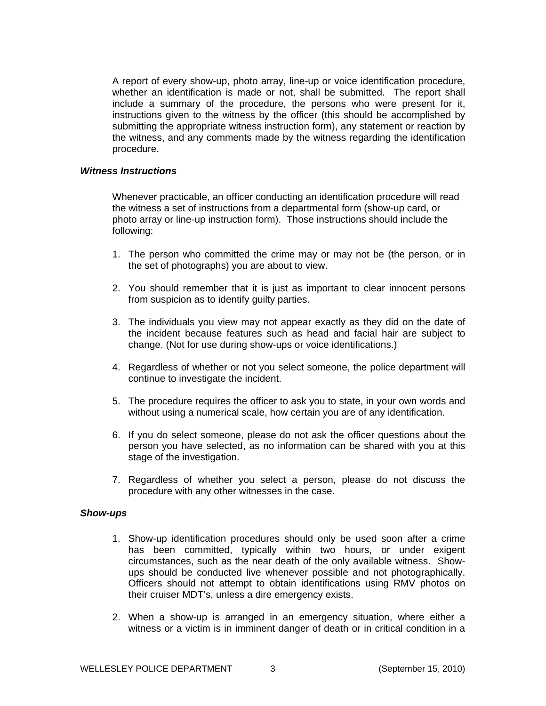A report of every show-up, photo array, line-up or voice identification procedure, whether an identification is made or not, shall be submitted. The report shall include a summary of the procedure, the persons who were present for it, instructions given to the witness by the officer (this should be accomplished by submitting the appropriate witness instruction form), any statement or reaction by the witness, and any comments made by the witness regarding the identification procedure.

#### *Witness Instructions*

Whenever practicable, an officer conducting an identification procedure will read the witness a set of instructions from a departmental form (show-up card, or photo array or line-up instruction form). Those instructions should include the following:

- 1. The person who committed the crime may or may not be (the person, or in the set of photographs) you are about to view.
- 2. You should remember that it is just as important to clear innocent persons from suspicion as to identify guilty parties.
- 3. The individuals you view may not appear exactly as they did on the date of the incident because features such as head and facial hair are subject to change. (Not for use during show-ups or voice identifications.)
- 4. Regardless of whether or not you select someone, the police department will continue to investigate the incident.
- 5. The procedure requires the officer to ask you to state, in your own words and without using a numerical scale, how certain you are of any identification.
- 6. If you do select someone, please do not ask the officer questions about the person you have selected, as no information can be shared with you at this stage of the investigation.
- 7. Regardless of whether you select a person, please do not discuss the procedure with any other witnesses in the case.

#### *Show-ups*

- 1. Show-up identification procedures should only be used soon after a crime has been committed, typically within two hours, or under exigent circumstances, such as the near death of the only available witness. Showups should be conducted live whenever possible and not photographically. Officers should not attempt to obtain identifications using RMV photos on their cruiser MDT's, unless a dire emergency exists.
- 2. When a show-up is arranged in an emergency situation, where either a witness or a victim is in imminent danger of death or in critical condition in a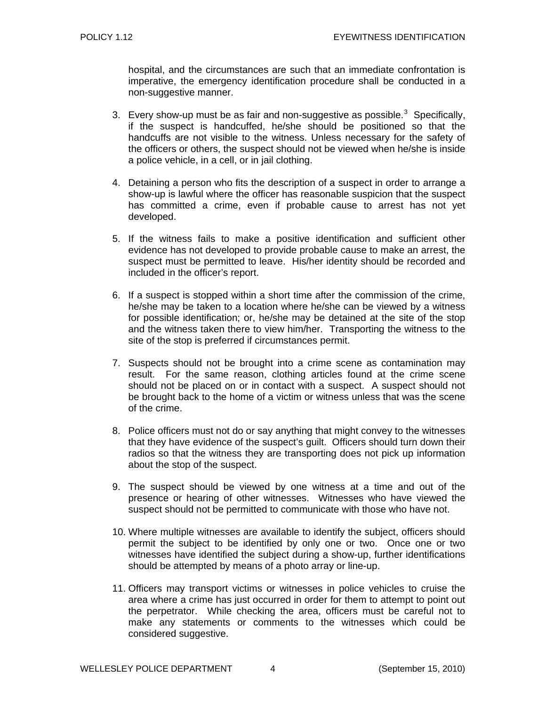hospital, and the circumstances are such that an immediate confrontation is imperative, the emergency identification procedure shall be conducted in a non-suggestive manner.

- [3](#page-10-2). Every show-up must be as fair and non-suggestive as possible. $3$  Specifically, if the suspect is handcuffed, he/she should be positioned so that the handcuffs are not visible to the witness. Unless necessary for the safety of the officers or others, the suspect should not be viewed when he/she is inside a police vehicle, in a cell, or in jail clothing.
- 4. Detaining a person who fits the description of a suspect in order to arrange a show-up is lawful where the officer has reasonable suspicion that the suspect has committed a crime, even if probable cause to arrest has not yet developed.
- 5. If the witness fails to make a positive identification and sufficient other evidence has not developed to provide probable cause to make an arrest, the suspect must be permitted to leave. His/her identity should be recorded and included in the officer's report.
- 6. If a suspect is stopped within a short time after the commission of the crime, he/she may be taken to a location where he/she can be viewed by a witness for possible identification; or, he/she may be detained at the site of the stop and the witness taken there to view him/her. Transporting the witness to the site of the stop is preferred if circumstances permit.
- 7. Suspects should not be brought into a crime scene as contamination may result. For the same reason, clothing articles found at the crime scene should not be placed on or in contact with a suspect. A suspect should not be brought back to the home of a victim or witness unless that was the scene of the crime.
- 8. Police officers must not do or say anything that might convey to the witnesses that they have evidence of the suspect's guilt. Officers should turn down their radios so that the witness they are transporting does not pick up information about the stop of the suspect.
- 9. The suspect should be viewed by one witness at a time and out of the presence or hearing of other witnesses. Witnesses who have viewed the suspect should not be permitted to communicate with those who have not.
- 10. Where multiple witnesses are available to identify the subject, officers should permit the subject to be identified by only one or two. Once one or two witnesses have identified the subject during a show-up, further identifications should be attempted by means of a photo array or line-up.
- 11. Officers may transport victims or witnesses in police vehicles to cruise the area where a crime has just occurred in order for them to attempt to point out the perpetrator. While checking the area, officers must be careful not to make any statements or comments to the witnesses which could be considered suggestive.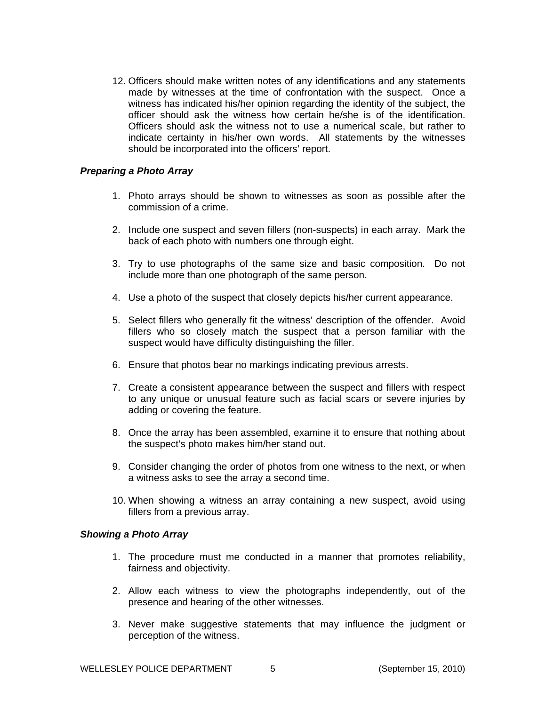12. Officers should make written notes of any identifications and any statements made by witnesses at the time of confrontation with the suspect. Once a witness has indicated his/her opinion regarding the identity of the subject, the officer should ask the witness how certain he/she is of the identification. Officers should ask the witness not to use a numerical scale, but rather to indicate certainty in his/her own words. All statements by the witnesses should be incorporated into the officers' report.

# *Preparing a Photo Array*

- 1. Photo arrays should be shown to witnesses as soon as possible after the commission of a crime.
- 2. Include one suspect and seven fillers (non-suspects) in each array. Mark the back of each photo with numbers one through eight.
- 3. Try to use photographs of the same size and basic composition. Do not include more than one photograph of the same person.
- 4. Use a photo of the suspect that closely depicts his/her current appearance.
- 5. Select fillers who generally fit the witness' description of the offender. Avoid fillers who so closely match the suspect that a person familiar with the suspect would have difficulty distinguishing the filler.
- 6. Ensure that photos bear no markings indicating previous arrests.
- 7. Create a consistent appearance between the suspect and fillers with respect to any unique or unusual feature such as facial scars or severe injuries by adding or covering the feature.
- 8. Once the array has been assembled, examine it to ensure that nothing about the suspect's photo makes him/her stand out.
- 9. Consider changing the order of photos from one witness to the next, or when a witness asks to see the array a second time.
- 10. When showing a witness an array containing a new suspect, avoid using fillers from a previous array.

# *Showing a Photo Array*

- 1. The procedure must me conducted in a manner that promotes reliability, fairness and objectivity.
- 2. Allow each witness to view the photographs independently, out of the presence and hearing of the other witnesses.
- 3. Never make suggestive statements that may influence the judgment or perception of the witness.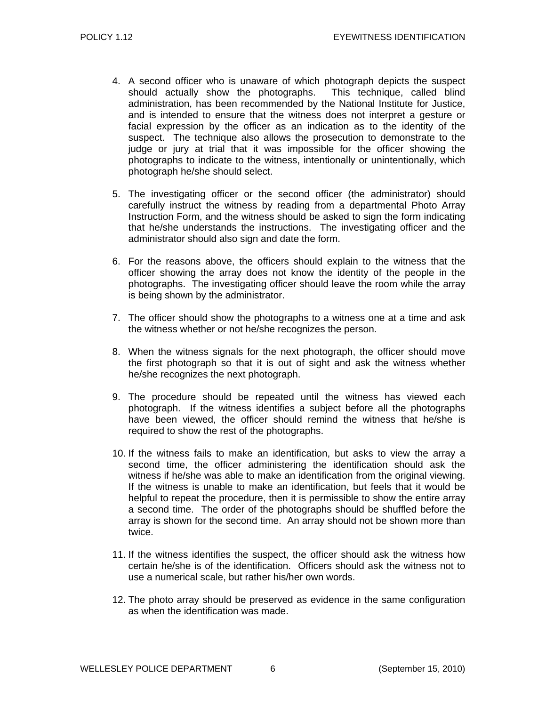- 4. A second officer who is unaware of which photograph depicts the suspect should actually show the photographs. This technique, called blind administration, has been recommended by the National Institute for Justice, and is intended to ensure that the witness does not interpret a gesture or facial expression by the officer as an indication as to the identity of the suspect. The technique also allows the prosecution to demonstrate to the judge or jury at trial that it was impossible for the officer showing the photographs to indicate to the witness, intentionally or unintentionally, which photograph he/she should select.
- 5. The investigating officer or the second officer (the administrator) should carefully instruct the witness by reading from a departmental Photo Array Instruction Form, and the witness should be asked to sign the form indicating that he/she understands the instructions. The investigating officer and the administrator should also sign and date the form.
- 6. For the reasons above, the officers should explain to the witness that the officer showing the array does not know the identity of the people in the photographs. The investigating officer should leave the room while the array is being shown by the administrator.
- 7. The officer should show the photographs to a witness one at a time and ask the witness whether or not he/she recognizes the person.
- 8. When the witness signals for the next photograph, the officer should move the first photograph so that it is out of sight and ask the witness whether he/she recognizes the next photograph.
- 9. The procedure should be repeated until the witness has viewed each photograph. If the witness identifies a subject before all the photographs have been viewed, the officer should remind the witness that he/she is required to show the rest of the photographs.
- 10. If the witness fails to make an identification, but asks to view the array a second time, the officer administering the identification should ask the witness if he/she was able to make an identification from the original viewing. If the witness is unable to make an identification, but feels that it would be helpful to repeat the procedure, then it is permissible to show the entire array a second time. The order of the photographs should be shuffled before the array is shown for the second time. An array should not be shown more than twice.
- 11. If the witness identifies the suspect, the officer should ask the witness how certain he/she is of the identification. Officers should ask the witness not to use a numerical scale, but rather his/her own words.
- 12. The photo array should be preserved as evidence in the same configuration as when the identification was made.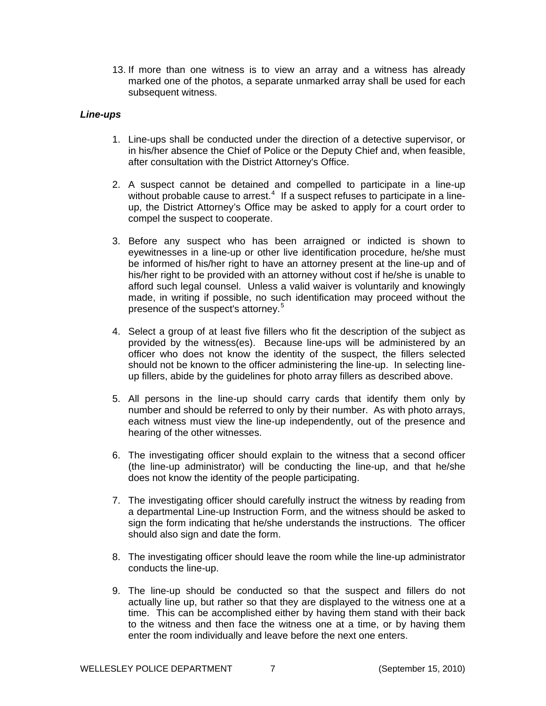13. If more than one witness is to view an array and a witness has already marked one of the photos, a separate unmarked array shall be used for each subsequent witness.

# *Line-ups*

- 1. Line-ups shall be conducted under the direction of a detective supervisor, or in his/her absence the Chief of Police or the Deputy Chief and, when feasible, after consultation with the District Attorney's Office.
- 2. A suspect cannot be detained and compelled to participate in a line-up without probable cause to arrest. $4$  If a suspect refuses to participate in a lineup, the District Attorney's Office may be asked to apply for a court order to compel the suspect to cooperate.
- 3. Before any suspect who has been arraigned or indicted is shown to eyewitnesses in a line-up or other live identification procedure, he/she must be informed of his/her right to have an attorney present at the line-up and of his/her right to be provided with an attorney without cost if he/she is unable to afford such legal counsel. Unless a valid waiver is voluntarily and knowingly made, in writing if possible, no such identification may proceed without the presence of the suspect's attorney.[5](#page-10-4)
- 4. Select a group of at least five fillers who fit the description of the subject as provided by the witness(es). Because line-ups will be administered by an officer who does not know the identity of the suspect, the fillers selected should not be known to the officer administering the line-up. In selecting lineup fillers, abide by the guidelines for photo array fillers as described above.
- 5. All persons in the line-up should carry cards that identify them only by number and should be referred to only by their number. As with photo arrays, each witness must view the line-up independently, out of the presence and hearing of the other witnesses.
- 6. The investigating officer should explain to the witness that a second officer (the line-up administrator) will be conducting the line-up, and that he/she does not know the identity of the people participating.
- 7. The investigating officer should carefully instruct the witness by reading from a departmental Line-up Instruction Form, and the witness should be asked to sign the form indicating that he/she understands the instructions. The officer should also sign and date the form.
- 8. The investigating officer should leave the room while the line-up administrator conducts the line-up.
- 9. The line-up should be conducted so that the suspect and fillers do not actually line up, but rather so that they are displayed to the witness one at a time. This can be accomplished either by having them stand with their back to the witness and then face the witness one at a time, or by having them enter the room individually and leave before the next one enters.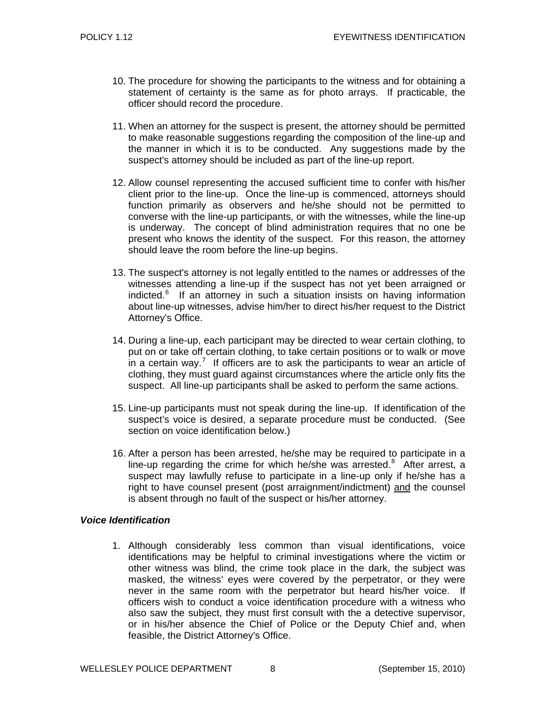- 10. The procedure for showing the participants to the witness and for obtaining a statement of certainty is the same as for photo arrays. If practicable, the officer should record the procedure.
- 11. When an attorney for the suspect is present, the attorney should be permitted to make reasonable suggestions regarding the composition of the line-up and the manner in which it is to be conducted. Any suggestions made by the suspect's attorney should be included as part of the line-up report.
- 12. Allow counsel representing the accused sufficient time to confer with his/her client prior to the line-up. Once the line-up is commenced, attorneys should function primarily as observers and he/she should not be permitted to converse with the line-up participants, or with the witnesses, while the line-up is underway. The concept of blind administration requires that no one be present who knows the identity of the suspect. For this reason, the attorney should leave the room before the line-up begins.
- 13. The suspect's attorney is not legally entitled to the names or addresses of the witnesses attending a line-up if the suspect has not yet been arraigned or indicted.<sup>[6](#page-10-5)</sup> If an attorney in such a situation insists on having information about line-up witnesses, advise him/her to direct his/her request to the District Attorney's Office.
- 14. During a line-up, each participant may be directed to wear certain clothing, to put on or take off certain clothing, to take certain positions or to walk or move in a certain way.<sup>[7](#page-10-6)</sup> If officers are to ask the participants to wear an article of clothing, they must guard against circumstances where the article only fits the suspect. All line-up participants shall be asked to perform the same actions.
- 15. Line-up participants must not speak during the line-up. If identification of the suspect's voice is desired, a separate procedure must be conducted. (See section on voice identification below.)
- 16. After a person has been arrested, he/she may be required to participate in a line-up regarding the crime for which he/she was arrested. $8$  After arrest, a suspect may lawfully refuse to participate in a line-up only if he/she has a right to have counsel present (post arraignment/indictment) and the counsel is absent through no fault of the suspect or his/her attorney.

# *Voice Identification*

1. Although considerably less common than visual identifications, voice identifications may be helpful to criminal investigations where the victim or other witness was blind, the crime took place in the dark, the subject was masked, the witness' eyes were covered by the perpetrator, or they were never in the same room with the perpetrator but heard his/her voice. If officers wish to conduct a voice identification procedure with a witness who also saw the subject, they must first consult with the a detective supervisor, or in his/her absence the Chief of Police or the Deputy Chief and, when feasible, the District Attorney's Office.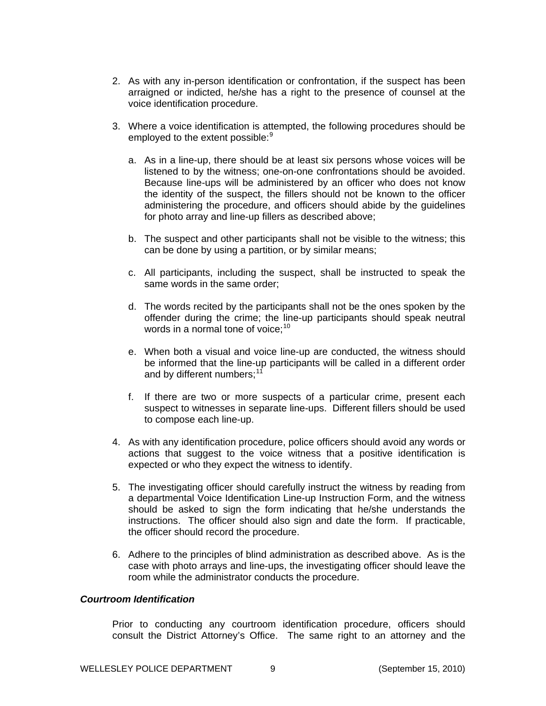- 2. As with any in-person identification or confrontation, if the suspect has been arraigned or indicted, he/she has a right to the presence of counsel at the voice identification procedure.
- 3. Where a voice identification is attempted, the following procedures should be employed to the extent possible:<sup>[9](#page-10-8)</sup>
	- a. As in a line-up, there should be at least six persons whose voices will be listened to by the witness; one-on-one confrontations should be avoided. Because line-ups will be administered by an officer who does not know the identity of the suspect, the fillers should not be known to the officer administering the procedure, and officers should abide by the guidelines for photo array and line-up fillers as described above;
	- b. The suspect and other participants shall not be visible to the witness; this can be done by using a partition, or by similar means;
	- c. All participants, including the suspect, shall be instructed to speak the same words in the same order;
	- d. The words recited by the participants shall not be the ones spoken by the offender during the crime; the line-up participants should speak neutral words in a normal tone of voice:<sup>[10](#page-10-9)</sup>
	- e. When both a visual and voice line-up are conducted, the witness should be informed that the line-up participants will be called in a different order and by different numbers;<sup>[11](#page-10-10)</sup>
	- f. If there are two or more suspects of a particular crime, present each suspect to witnesses in separate line-ups. Different fillers should be used to compose each line-up.
- 4. As with any identification procedure, police officers should avoid any words or actions that suggest to the voice witness that a positive identification is expected or who they expect the witness to identify.
- 5. The investigating officer should carefully instruct the witness by reading from a departmental Voice Identification Line-up Instruction Form, and the witness should be asked to sign the form indicating that he/she understands the instructions. The officer should also sign and date the form. If practicable, the officer should record the procedure.
- 6. Adhere to the principles of blind administration as described above. As is the case with photo arrays and line-ups, the investigating officer should leave the room while the administrator conducts the procedure.

# *Courtroom Identification*

Prior to conducting any courtroom identification procedure, officers should consult the District Attorney's Office. The same right to an attorney and the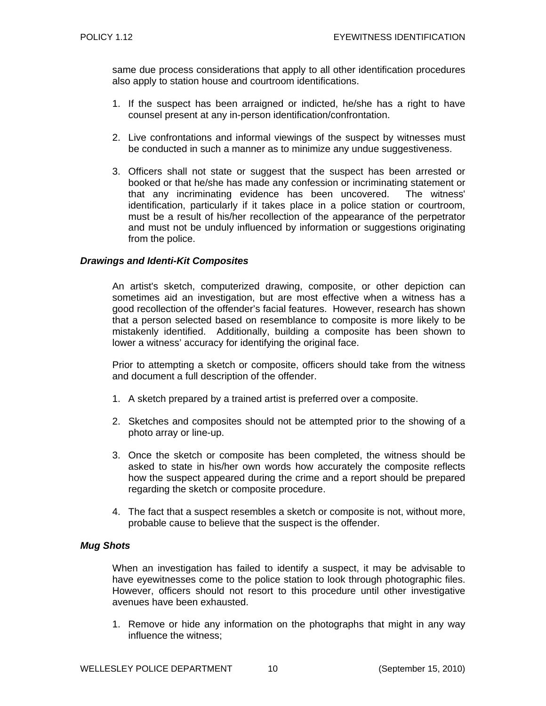same due process considerations that apply to all other identification procedures also apply to station house and courtroom identifications.

- 1. If the suspect has been arraigned or indicted, he/she has a right to have counsel present at any in-person identification/confrontation.
- 2. Live confrontations and informal viewings of the suspect by witnesses must be conducted in such a manner as to minimize any undue suggestiveness.
- 3. Officers shall not state or suggest that the suspect has been arrested or booked or that he/she has made any confession or incriminating statement or that any incriminating evidence has been uncovered. The witness' identification, particularly if it takes place in a police station or courtroom, must be a result of his/her recollection of the appearance of the perpetrator and must not be unduly influenced by information or suggestions originating from the police.

# *Drawings and Identi-Kit Composites*

An artist's sketch, computerized drawing, composite, or other depiction can sometimes aid an investigation, but are most effective when a witness has a good recollection of the offender's facial features. However, research has shown that a person selected based on resemblance to composite is more likely to be mistakenly identified. Additionally, building a composite has been shown to lower a witness' accuracy for identifying the original face.

Prior to attempting a sketch or composite, officers should take from the witness and document a full description of the offender.

- 1. A sketch prepared by a trained artist is preferred over a composite.
- 2. Sketches and composites should not be attempted prior to the showing of a photo array or line-up.
- 3. Once the sketch or composite has been completed, the witness should be asked to state in his/her own words how accurately the composite reflects how the suspect appeared during the crime and a report should be prepared regarding the sketch or composite procedure.
- 4. The fact that a suspect resembles a sketch or composite is not, without more, probable cause to believe that the suspect is the offender.

# *Mug Shots*

When an investigation has failed to identify a suspect, it may be advisable to have eyewitnesses come to the police station to look through photographic files. However, officers should not resort to this procedure until other investigative avenues have been exhausted.

1. Remove or hide any information on the photographs that might in any way influence the witness;